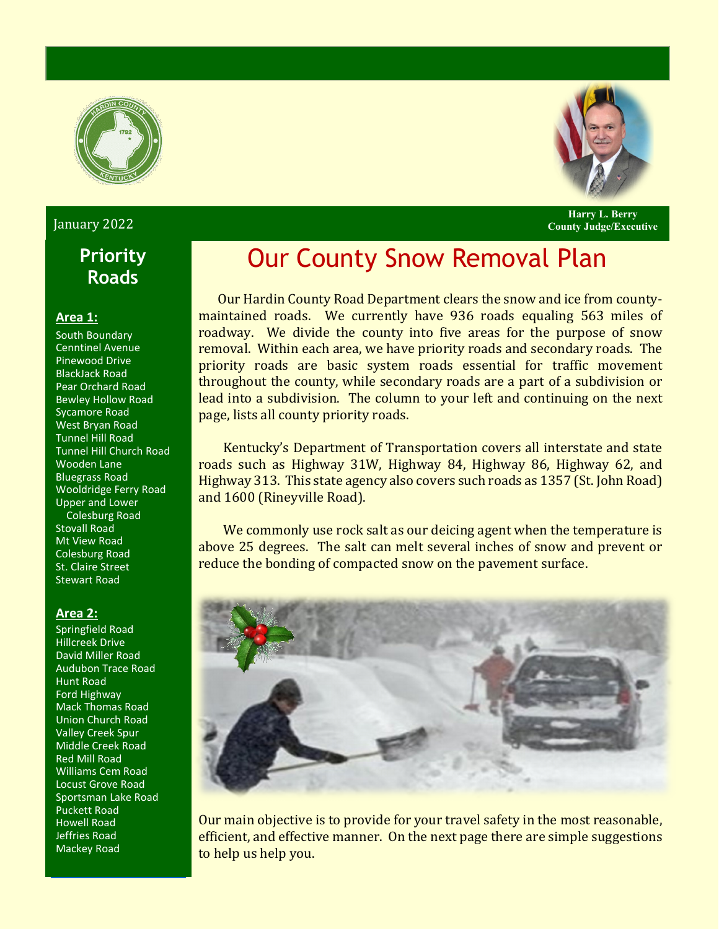



**Harry L. Berry**

January 2022 **County Judge/Executive**

# **Priority Roads**

#### **Area 1:**

South Boundary Cenntinel Avenue Pinewood Drive BlackJack Road Pear Orchard Road Bewley Hollow Road Sycamore Road West Bryan Road Tunnel Hill Road Tunnel Hill Church Road Wooden Lane Bluegrass Road Wooldridge Ferry Road Upper and Lower Colesburg Road Stovall Road Mt View Road Colesburg Road St. Claire Street Stewart Road

### **Area 2:**

Springfield Road Hillcreek Drive David Miller Road Audubon Trace Road Hunt Road Ford Highway Mack Thomas Road Union Church Road Valley Creek Spur Middle Creek Road Red Mill Road Williams Cem Road Locust Grove Road Sportsman Lake Road Puckett Road Howell Road Jeffries Road Mackey Road

# Our County Snow Removal Plan

 Our Hardin County Road Department clears the snow and ice from countymaintained roads. We currently have 936 roads equaling 563 miles of roadway. We divide the county into five areas for the purpose of snow removal. Within each area, we have priority roads and secondary roads. The priority roads are basic system roads essential for traffic movement throughout the county, while secondary roads are a part of a subdivision or lead into a subdivision. The column to your left and continuing on the next page, lists all county priority roads.

 Kentucky's Department of Transportation covers all interstate and state roads such as Highway 31W, Highway 84, Highway 86, Highway 62, and Highway 313. This state agency also covers such roads as 1357 (St. John Road) and 1600 (Rineyville Road).

We commonly use rock salt as our deicing agent when the temperature is above 25 degrees. The salt can melt several inches of snow and prevent or reduce the bonding of compacted snow on the pavement surface.



Our main objective is to provide for your travel safety in the most reasonable, efficient, and effective manner. On the next page there are simple suggestions to help us help you.